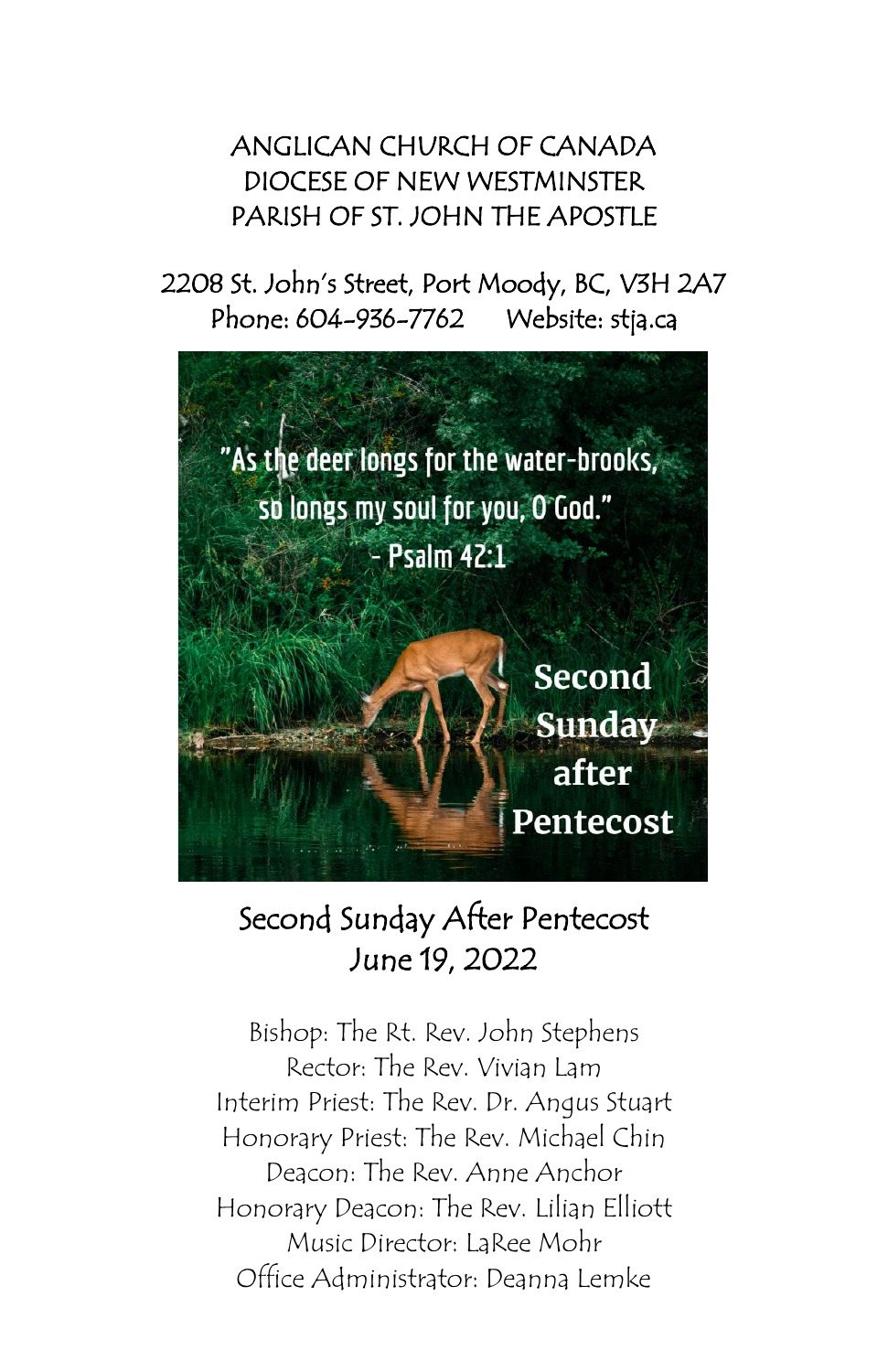# ANGLICAN CHURCH OF CANADA DIOCESE OF NEW WESTMINSTER PARISH OF ST. JOHN THE APOSTLE

2208 St. John's Street, Port Moody, BC, V3H 2A7 Phone: 604-936-7762 Website: stja.ca



# Second Sunday After Pentecost June 19, 2022

Bishop: The Rt. Rev. John Stephens Rector: The Rev. Vivian Lam Interim Priest: The Rev. Dr. Angus Stuart Honorary Priest: The Rev. Michael Chin Deacon: The Rev. Anne Anchor Honorary Deacon: The Rev. Lilian Elliott Music Director: LaRee Mohr Office Administrator: Deanna Lemke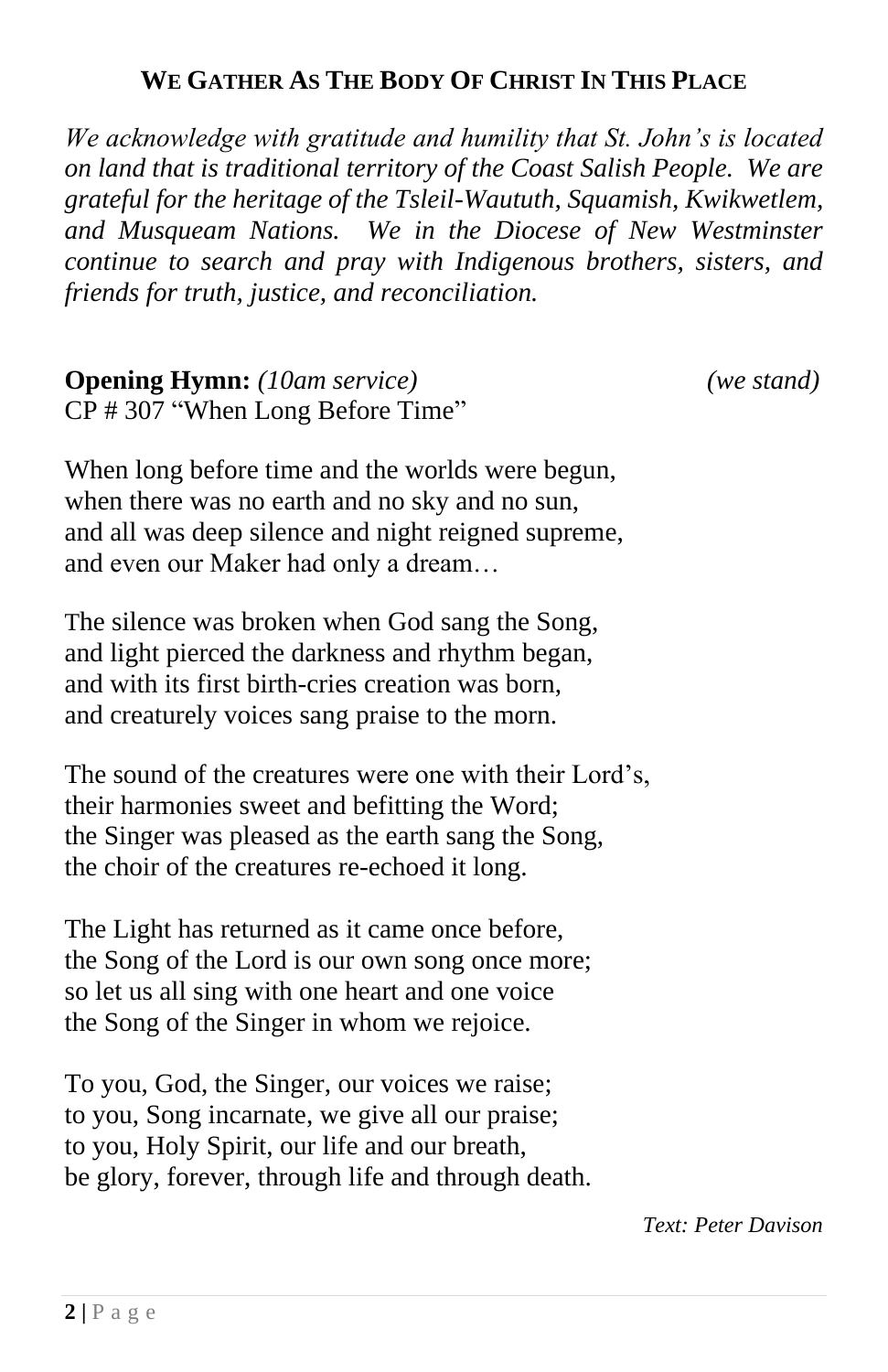#### **WE GATHER AS THE BODY OF CHRIST IN THIS PLACE**

*We acknowledge with gratitude and humility that St. John's is located on land that is traditional territory of the Coast Salish People. We are grateful for the heritage of the Tsleil-Waututh, Squamish, Kwikwetlem, and Musqueam Nations. We in the Diocese of New Westminster continue to search and pray with Indigenous brothers, sisters, and friends for truth, justice, and reconciliation.*

**Opening Hymn:** *(10am service)**(we stand)* CP # 307 "When Long Before Time"

When long before time and the worlds were begun, when there was no earth and no sky and no sun, and all was deep silence and night reigned supreme, and even our Maker had only a dream…

The silence was broken when God sang the Song, and light pierced the darkness and rhythm began, and with its first birth-cries creation was born, and creaturely voices sang praise to the morn.

The sound of the creatures were one with their Lord's, their harmonies sweet and befitting the Word; the Singer was pleased as the earth sang the Song, the choir of the creatures re-echoed it long.

The Light has returned as it came once before, the Song of the Lord is our own song once more; so let us all sing with one heart and one voice the Song of the Singer in whom we rejoice.

To you, God, the Singer, our voices we raise; to you, Song incarnate, we give all our praise; to you, Holy Spirit, our life and our breath, be glory, forever, through life and through death.

*Text: Peter Davison*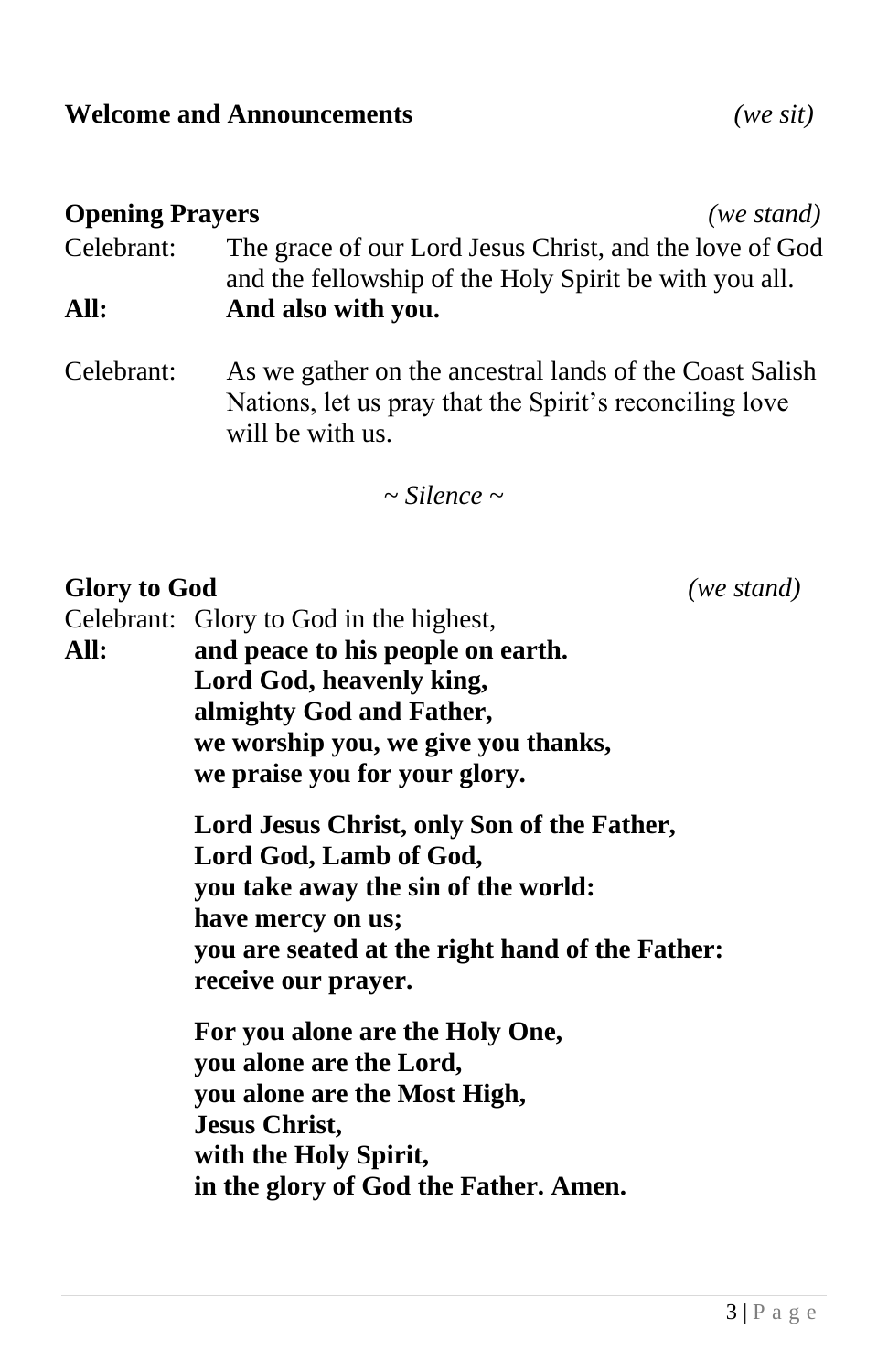#### **Welcome and Announcements** *(we sit)*

Celebrant: Glory to God in the highest,

| <b>Opening Prayers</b> |                                                                                                                                        | (we stand) |
|------------------------|----------------------------------------------------------------------------------------------------------------------------------------|------------|
| Celebrant:             | The grace of our Lord Jesus Christ, and the love of God<br>and the fellowship of the Holy Spirit be with you all.                      |            |
| All:                   | And also with you.                                                                                                                     |            |
| Celebrant:             | As we gather on the ancestral lands of the Coast Salish<br>Nations, let us pray that the Spirit's reconciling love<br>will be with us. |            |

*~ Silence ~*

**Glory to God** *(we stand)*

**All: and peace to his people on earth. Lord God, heavenly king, almighty God and Father, we worship you, we give you thanks, we praise you for your glory. Lord Jesus Christ, only Son of the Father, Lord God, Lamb of God, you take away the sin of the world: have mercy on us; you are seated at the right hand of the Father: receive our prayer. For you alone are the Holy One, you alone are the Lord, you alone are the Most High, Jesus Christ, with the Holy Spirit, in the glory of God the Father. Amen.**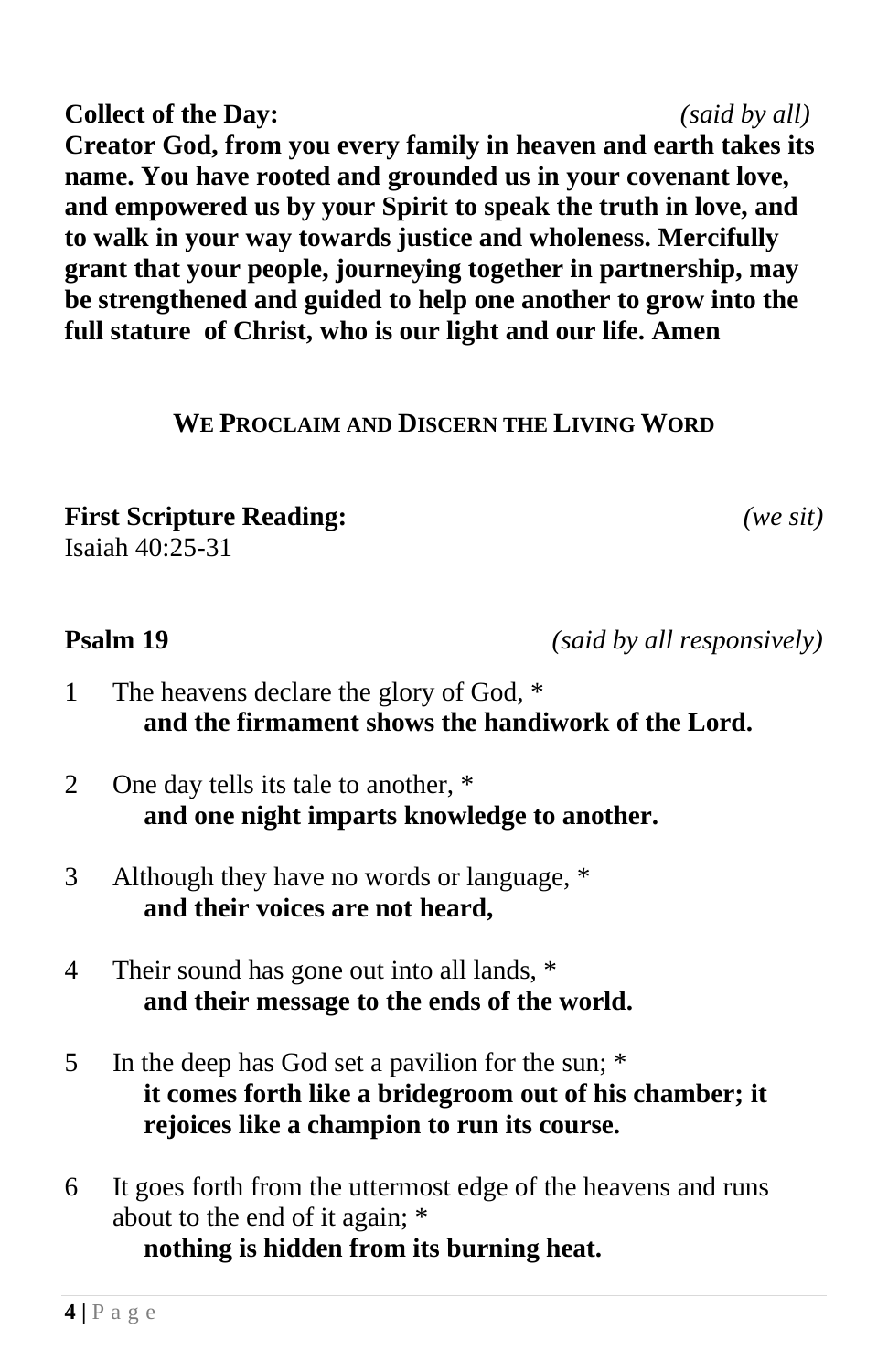#### **Creator God, from you every family in heaven and earth takes its name. You have rooted and grounded us in your covenant love, and empowered us by your Spirit to speak the truth in love, and to walk in your way towards justice and wholeness. Mercifully grant that your people, journeying together in partnership, may be strengthened and guided to help one another to grow into the full stature of Christ, who is our light and our life. Amen**

#### **WE PROCLAIM AND DISCERN THE LIVING WORD**

# **First Scripture Reading:** *(we sit)*

Isaiah 40:25-31

**Psalm 19** *(said by all responsively)*

- 1 The heavens declare the glory of God, \* **and the firmament shows the handiwork of the Lord.**
- 2 One day tells its tale to another, \* **and one night imparts knowledge to another.**
- 3 Although they have no words or language, \* **and their voices are not heard,**
- 4 Their sound has gone out into all lands, \* **and their message to the ends of the world.**
- 5 In the deep has God set a pavilion for the sun; \* **it comes forth like a bridegroom out of his chamber; it rejoices like a champion to run its course.**
- 6 It goes forth from the uttermost edge of the heavens and runs about to the end of it again; \* **nothing is hidden from its burning heat.**

**Collect of the Day:** *(said by all)*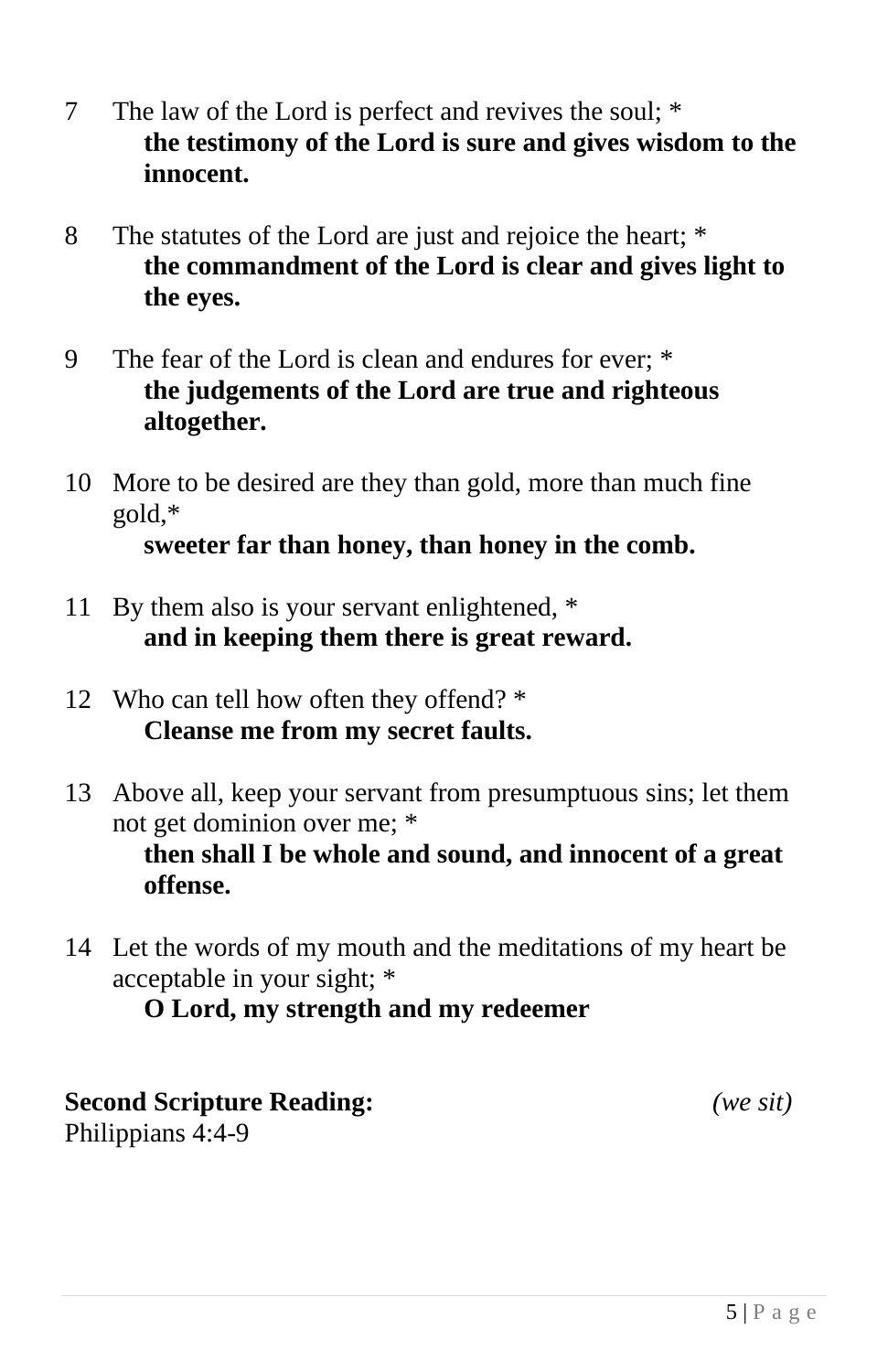- 7 The law of the Lord is perfect and revives the soul; \* **the testimony of the Lord is sure and gives wisdom to the innocent.**
- 8 The statutes of the Lord are just and rejoice the heart; \* **the commandment of the Lord is clear and gives light to the eyes.**
- 9 The fear of the Lord is clean and endures for ever; \* **the judgements of the Lord are true and righteous altogether.**
- 10 More to be desired are they than gold, more than much fine gold,\* **sweeter far than honey, than honey in the comb.**
- 11 By them also is your servant enlightened, \* **and in keeping them there is great reward.**
- 12 Who can tell how often they offend? \* **Cleanse me from my secret faults.**
- 13 Above all, keep your servant from presumptuous sins; let them not get dominion over me; \*

**then shall I be whole and sound, and innocent of a great offense.**

14 Let the words of my mouth and the meditations of my heart be acceptable in your sight; \*

**O Lord, my strength and my redeemer**

**Second Scripture Reading:** *(we sit)* Philippians 4:4-9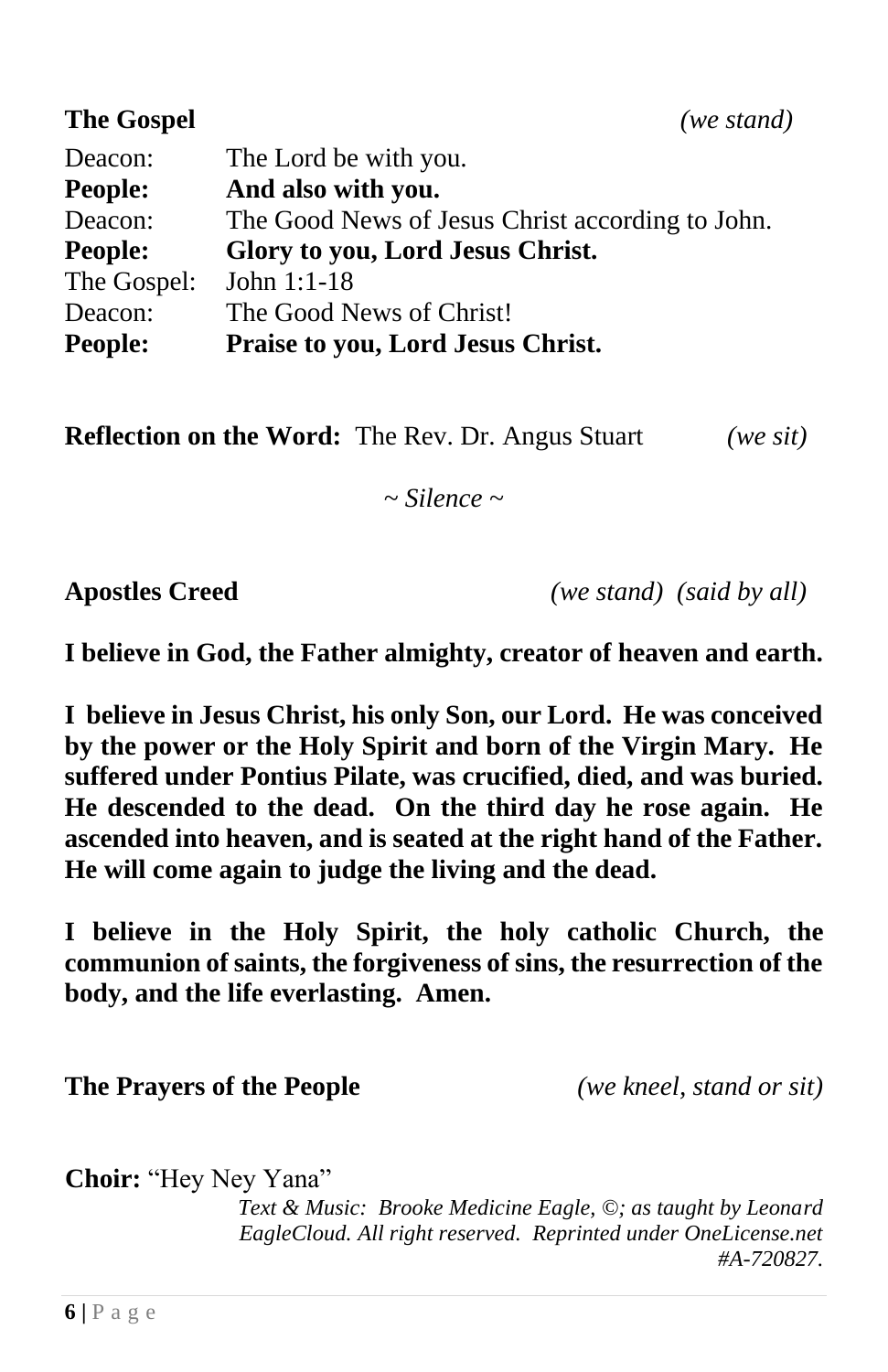| (we stand)                                       |
|--------------------------------------------------|
| The Lord be with you.                            |
| And also with you.                               |
| The Good News of Jesus Christ according to John. |
| Glory to you, Lord Jesus Christ.                 |
| John 1:1-18                                      |
| The Good News of Christ!                         |
| Praise to you, Lord Jesus Christ.                |
|                                                  |

**Reflection on the Word:** The Rev. Dr. Angus Stuart *(we sit)*

*~ Silence ~*

**Apostles Creed** *(we stand) (said by all)*

**I believe in God, the Father almighty, creator of heaven and earth.** 

**I believe in Jesus Christ, his only Son, our Lord. He was conceived by the power or the Holy Spirit and born of the Virgin Mary. He suffered under Pontius Pilate, was crucified, died, and was buried. He descended to the dead. On the third day he rose again. He ascended into heaven, and is seated at the right hand of the Father. He will come again to judge the living and the dead.**

**I believe in the Holy Spirit, the holy catholic Church, the communion of saints, the forgiveness of sins, the resurrection of the body, and the life everlasting. Amen.**

**The Prayers of the People** *(we kneel, stand or sit)*

**Choir:** "Hey Ney Yana"

*Text & Music: Brooke Medicine Eagle, ©; as taught by Leonard EagleCloud. All right reserved. Reprinted under OneLicense.net #A-720827.*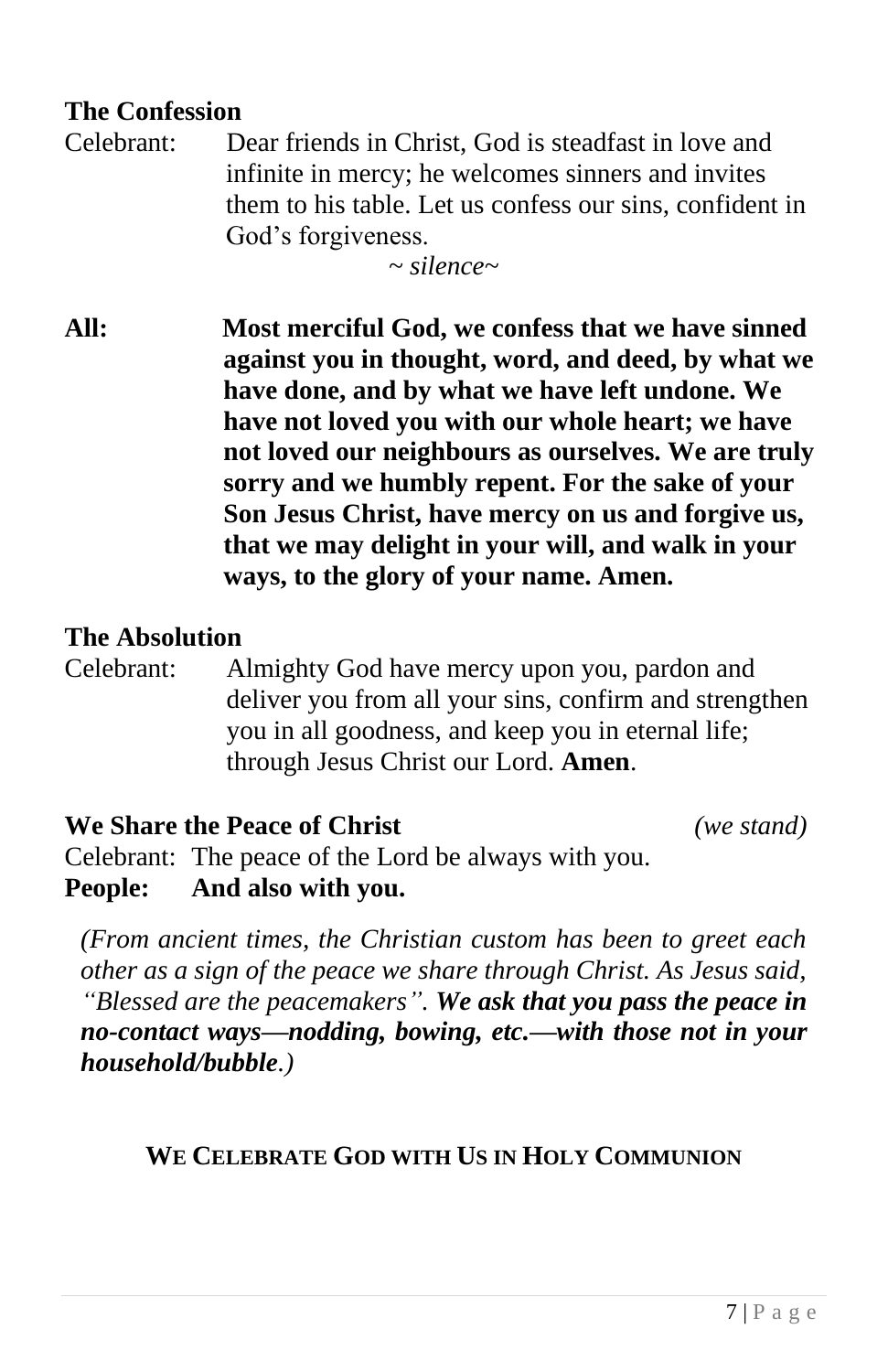#### **The Confession**

Celebrant: Dear friends in Christ, God is steadfast in love and infinite in mercy; he welcomes sinners and invites them to his table. Let us confess our sins, confident in God's forgiveness.

*~ silence~*

**All: Most merciful God, we confess that we have sinned against you in thought, word, and deed, by what we have done, and by what we have left undone. We have not loved you with our whole heart; we have not loved our neighbours as ourselves. We are truly sorry and we humbly repent. For the sake of your Son Jesus Christ, have mercy on us and forgive us, that we may delight in your will, and walk in your ways, to the glory of your name. Amen.**

#### **The Absolution**

Celebrant: Almighty God have mercy upon you, pardon and deliver you from all your sins, confirm and strengthen you in all goodness, and keep you in eternal life; through Jesus Christ our Lord. **Amen**.

#### **We Share the Peace of Christ** *(we stand)*

Celebrant: The peace of the Lord be always with you. **People: And also with you.**

*(From ancient times, the Christian custom has been to greet each other as a sign of the peace we share through Christ. As Jesus said, "Blessed are the peacemakers". We ask that you pass the peace in no-contact ways—nodding, bowing, etc.—with those not in your household/bubble.)*

#### **WE CELEBRATE GOD WITH US IN HOLY COMMUNION**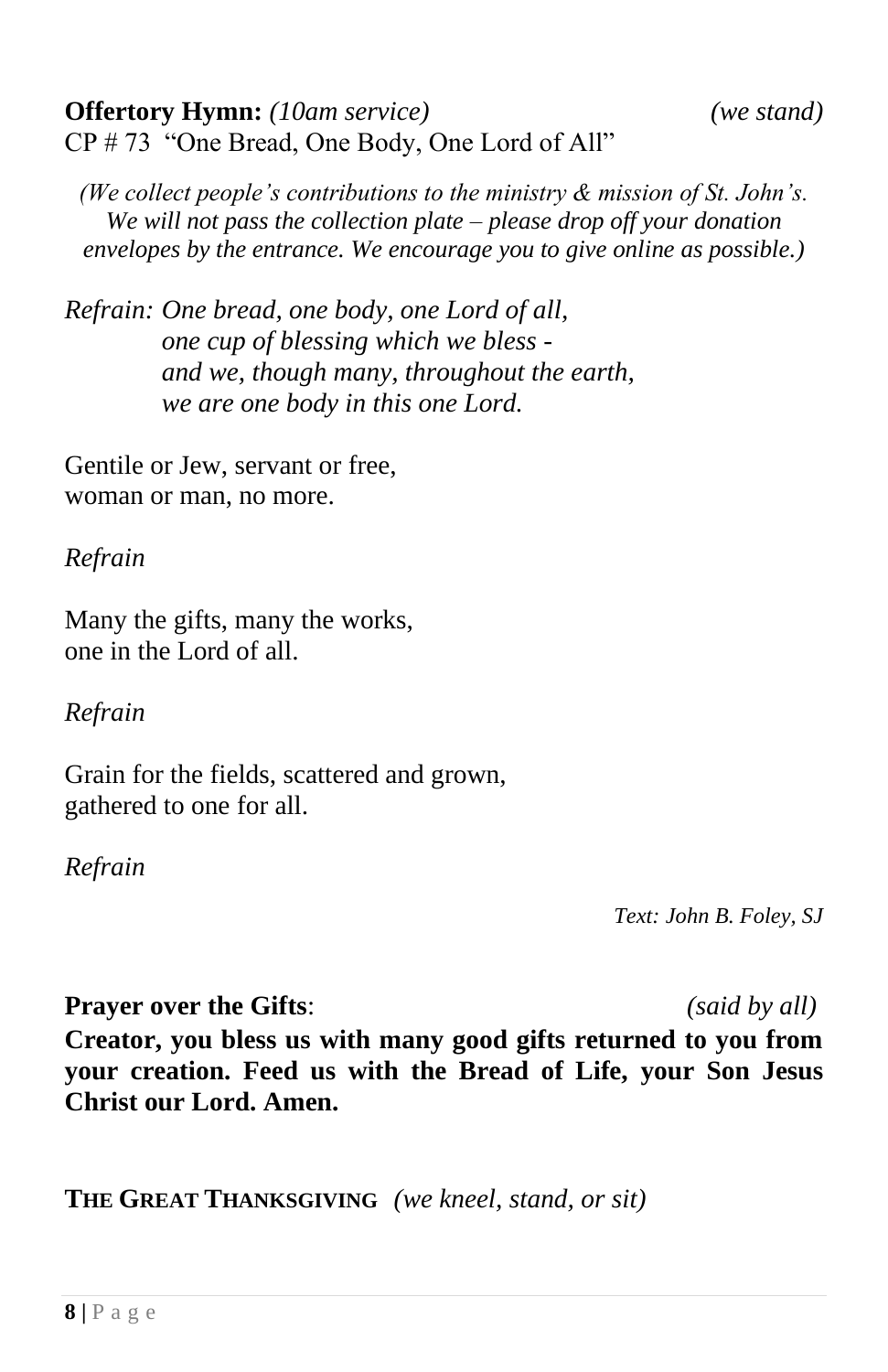**Offertory Hymn:** *(10am service) (we stand)* CP # 73 "One Bread, One Body, One Lord of All"

*(We collect people's contributions to the ministry & mission of St. John's. We will not pass the collection plate – please drop off your donation envelopes by the entrance. We encourage you to give online as possible.)*

*Refrain: One bread, one body, one Lord of all, one cup of blessing which we bless and we, though many, throughout the earth, we are one body in this one Lord.*

Gentile or Jew, servant or free, woman or man, no more.

*Refrain*

Many the gifts, many the works, one in the Lord of all.

*Refrain*

Grain for the fields, scattered and grown, gathered to one for all.

#### *Refrain*

*Text: John B. Foley, SJ*

**Prayer over the Gifts**: *(said by all)*

**Creator, you bless us with many good gifts returned to you from your creation. Feed us with the Bread of Life, your Son Jesus Christ our Lord. Amen.**

**THE GREAT THANKSGIVING** *(we kneel, stand, or sit)*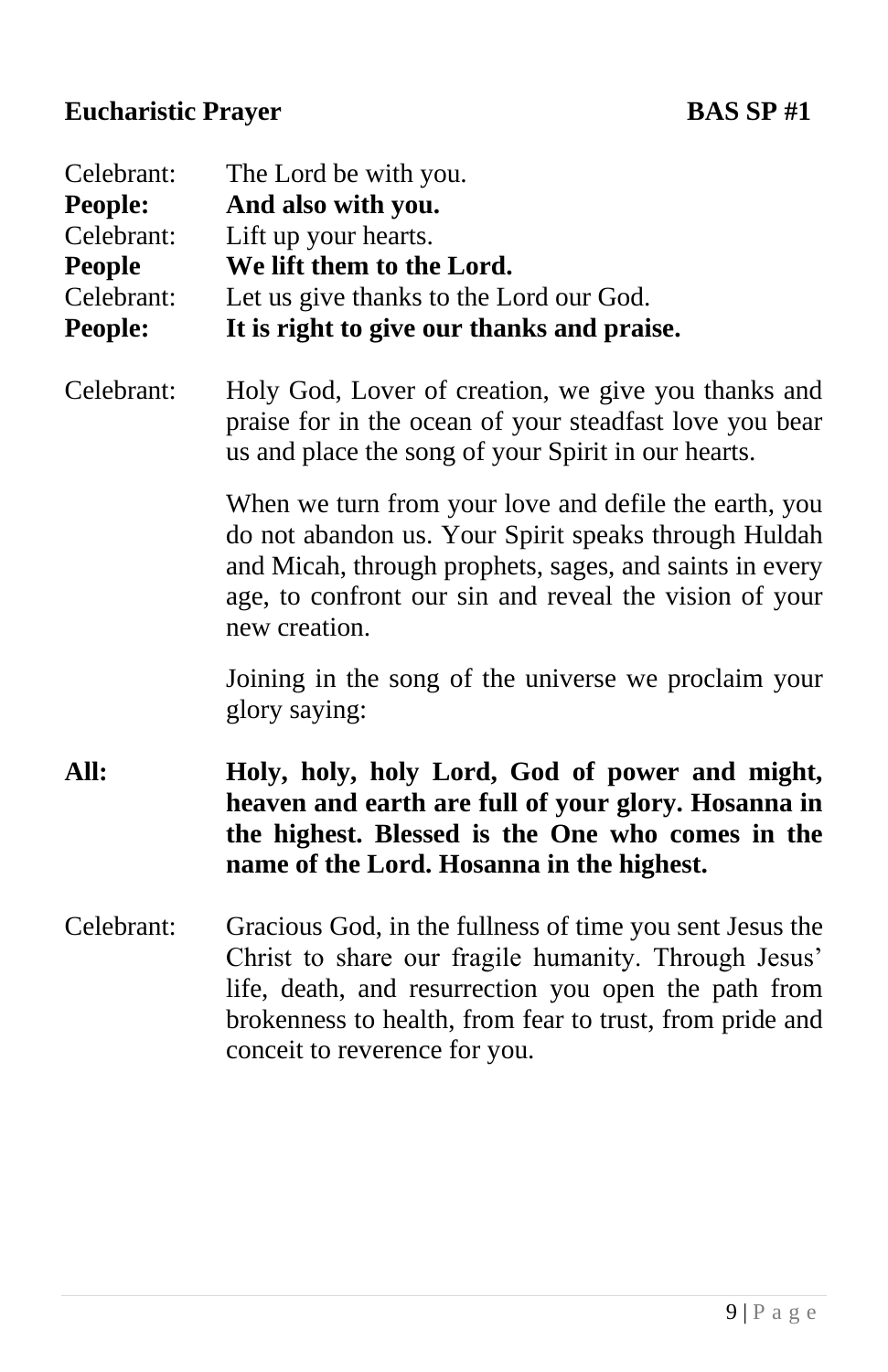# **Eucharistic Prayer BAS SP #1**

| Celebrant:    | The Lord be with you.                                                                                                                                                                                                                                                 |  |
|---------------|-----------------------------------------------------------------------------------------------------------------------------------------------------------------------------------------------------------------------------------------------------------------------|--|
| People:       | And also with you.                                                                                                                                                                                                                                                    |  |
| Celebrant:    | Lift up your hearts.                                                                                                                                                                                                                                                  |  |
| <b>People</b> | We lift them to the Lord.                                                                                                                                                                                                                                             |  |
| Celebrant:    | Let us give thanks to the Lord our God.                                                                                                                                                                                                                               |  |
| People:       | It is right to give our thanks and praise.                                                                                                                                                                                                                            |  |
| Celebrant:    | Holy God, Lover of creation, we give you thanks and<br>praise for in the ocean of your steadfast love you bear<br>us and place the song of your Spirit in our hearts.                                                                                                 |  |
|               | When we turn from your love and defile the earth, you<br>do not abandon us. Your Spirit speaks through Huldah<br>and Micah, through prophets, sages, and saints in every<br>age, to confront our sin and reveal the vision of your<br>new creation.                   |  |
|               | Joining in the song of the universe we proclaim your<br>glory saying:                                                                                                                                                                                                 |  |
| All:          | Holy, holy, holy Lord, God of power and might,<br>heaven and earth are full of your glory. Hosanna in<br>the highest. Blessed is the One who comes in the<br>name of the Lord. Hosanna in the highest.                                                                |  |
| Celebrant:    | Gracious God, in the fullness of time you sent Jesus the<br>Christ to share our fragile humanity. Through Jesus'<br>life, death, and resurrection you open the path from<br>brokenness to health, from fear to trust, from pride and<br>conceit to reverence for you. |  |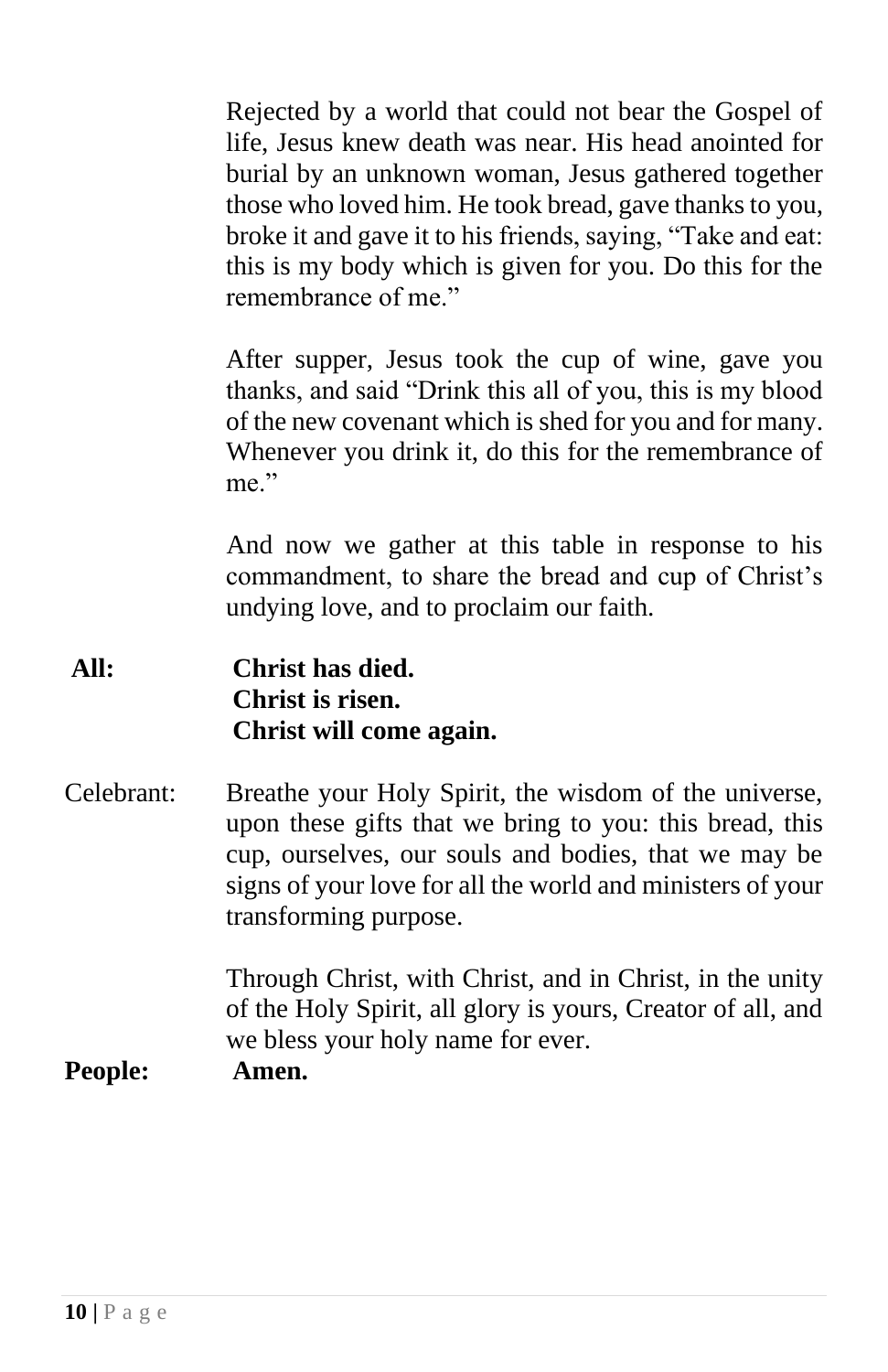Rejected by a world that could not bear the Gospel of life, Jesus knew death was near. His head anointed for burial by an unknown woman, Jesus gathered together those who loved him. He took bread, gave thanks to you, broke it and gave it to his friends, saying, "Take and eat: this is my body which is given for you. Do this for the remembrance of me."

After supper, Jesus took the cup of wine, gave you thanks, and said "Drink this all of you, this is my blood of the new covenant which is shed for you and for many. Whenever you drink it, do this for the remembrance of me."

And now we gather at this table in response to his commandment, to share the bread and cup of Christ's undying love, and to proclaim our faith.

#### **All: Christ has died. Christ is risen. Christ will come again.**

Celebrant: Breathe your Holy Spirit, the wisdom of the universe, upon these gifts that we bring to you: this bread, this cup, ourselves, our souls and bodies, that we may be signs of your love for all the world and ministers of your transforming purpose.

> Through Christ, with Christ, and in Christ, in the unity of the Holy Spirit, all glory is yours, Creator of all, and we bless your holy name for ever.

**People: Amen.**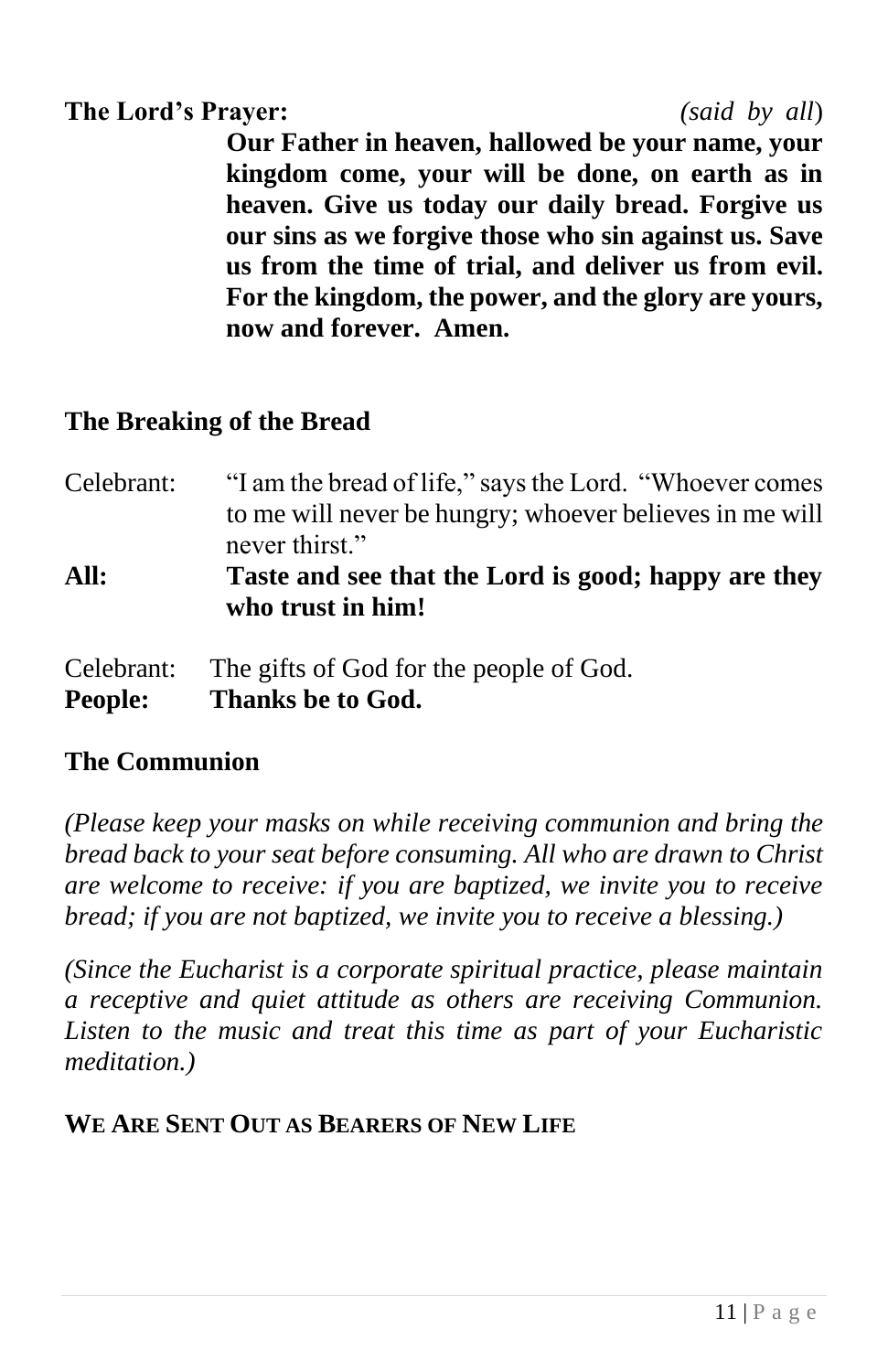# **The Lord's Prayer:** *(said by all*)

**Our Father in heaven, hallowed be your name, your kingdom come, your will be done, on earth as in heaven. Give us today our daily bread. Forgive us our sins as we forgive those who sin against us. Save us from the time of trial, and deliver us from evil. For the kingdom, the power, and the glory are yours, now and forever. Amen.**

# **The Breaking of the Bread**

| Celebrant: | "I am the bread of life," says the Lord. "Whoever comes"                 |
|------------|--------------------------------------------------------------------------|
|            | to me will never be hungry; whoever believes in me will                  |
|            | never thirst."                                                           |
| All:       | Taste and see that the Lord is good; happy are they<br>who trust in him! |
| Celebrant: | The gifts of God for the people of God.                                  |
| People:    | Thanks be to God.                                                        |

# **The Communion**

*(Please keep your masks on while receiving communion and bring the bread back to your seat before consuming. All who are drawn to Christ are welcome to receive: if you are baptized, we invite you to receive bread; if you are not baptized, we invite you to receive a blessing.)*

*(Since the Eucharist is a corporate spiritual practice, please maintain a receptive and quiet attitude as others are receiving Communion. Listen to the music and treat this time as part of your Eucharistic meditation.)*

# **WE ARE SENT OUT AS BEARERS OF NEW LIFE**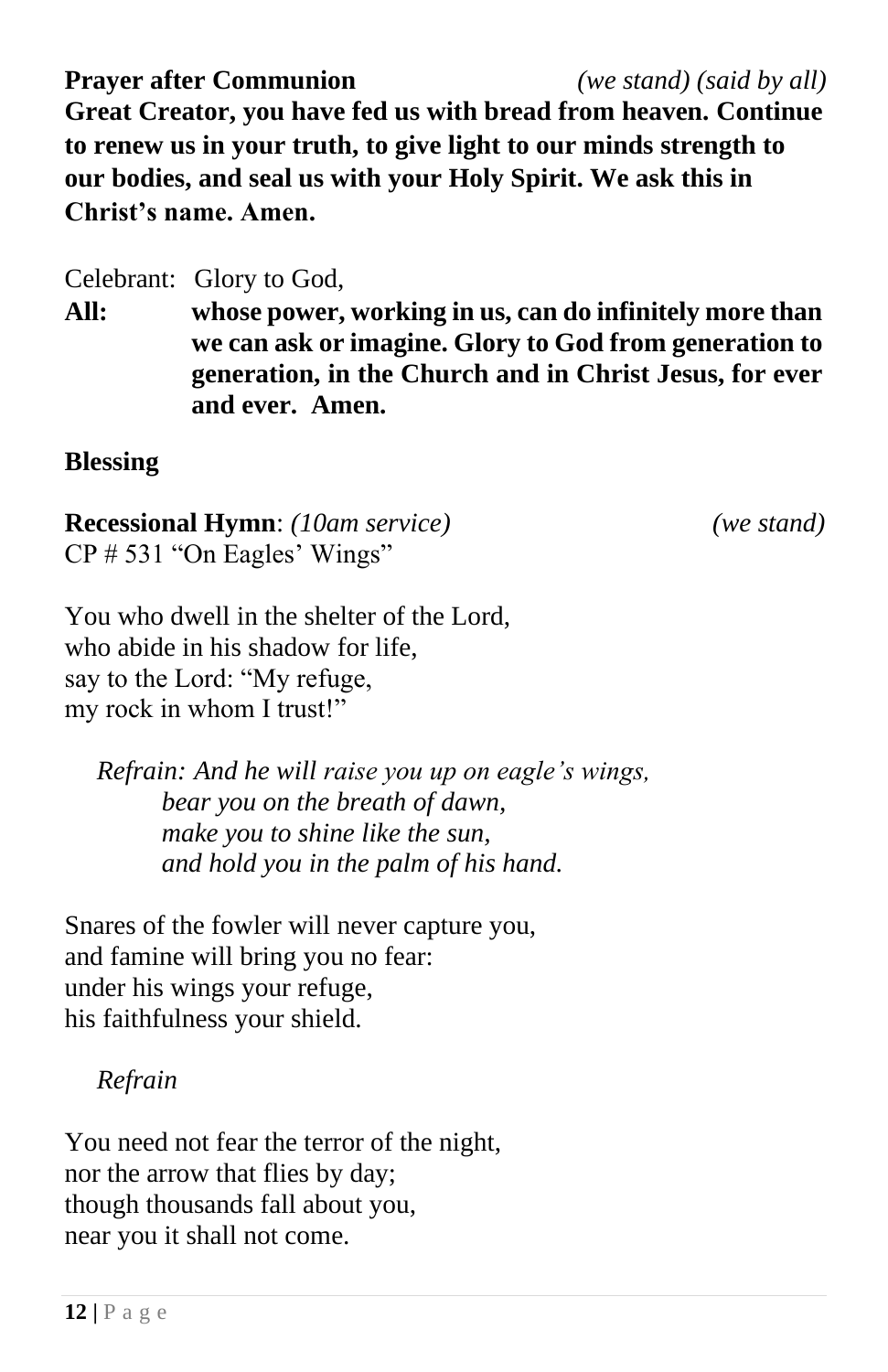### You need not fear the terror of the night,

*Refrain*

nor the arrow that flies by day; though thousands fall about you, near you it shall not come.

and famine will bring you no fear: under his wings your refuge, his faithfulness your shield.

who abide in his shadow for life, say to the Lord: "My refuge, my rock in whom I trust!"

Snares of the fowler will never capture you,

You who dwell in the shelter of the Lord,

*Refrain: And he will raise you up on eagle's wings, bear you on the breath of dawn, make you to shine like the sun, and hold you in the palm of his hand.*

**Recessional Hymn**: *(10am service) (we stand)*  $CP \# 531$  "On Eagles' Wings"

**All: whose power, working in us, can do infinitely more than we can ask or imagine. Glory to God from generation to generation, in the Church and in Christ Jesus, for ever and ever. Amen.**

# Celebrant: Glory to God,

**Blessing**

**Great Creator, you have fed us with bread from heaven. Continue to renew us in your truth, to give light to our minds strength to our bodies, and seal us with your Holy Spirit. We ask this in Christ's name. Amen.**

**Prayer after Communion** *(we stand) (said by all)*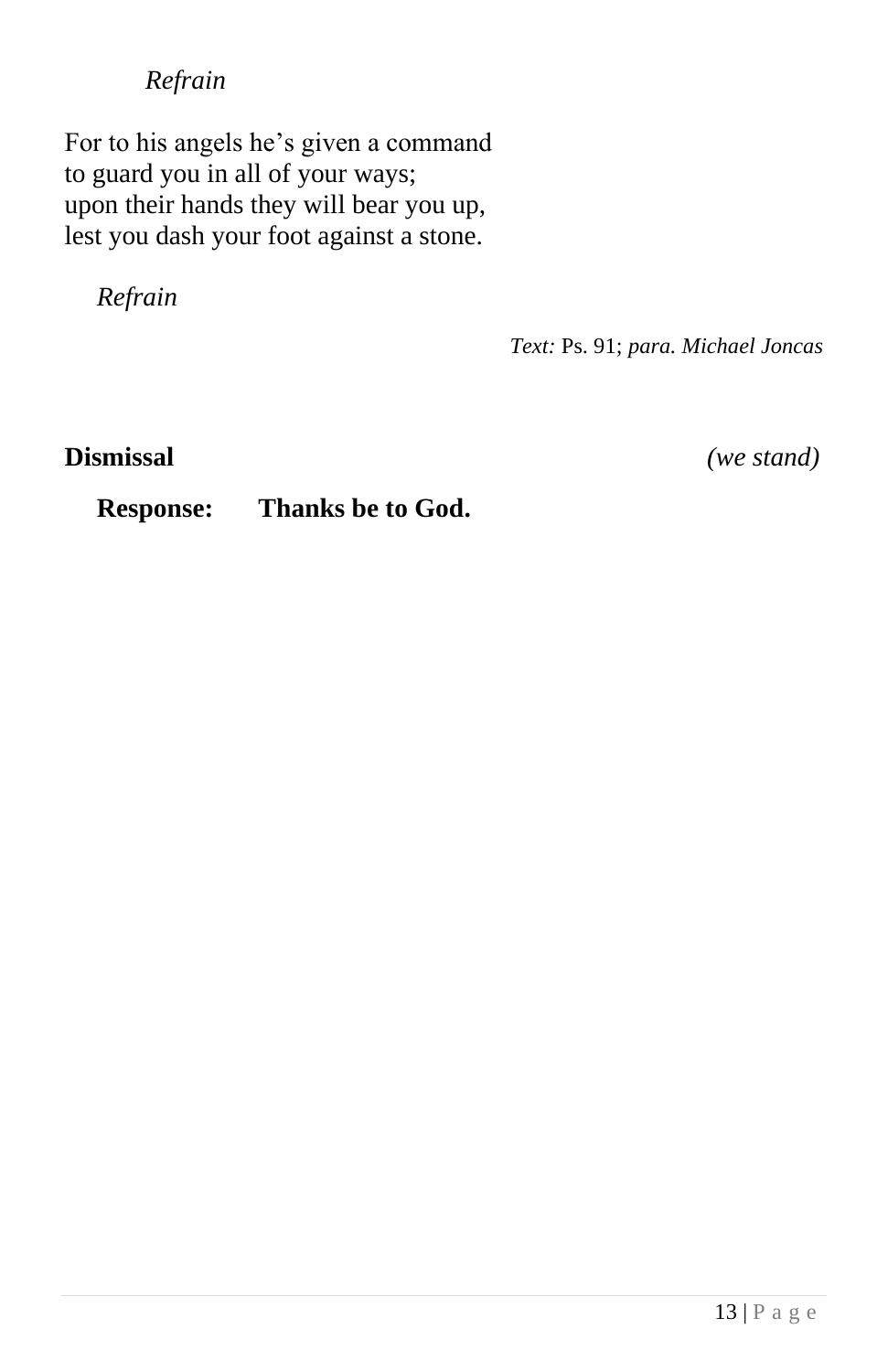#### *Refrain*

For to his angels he's given a command to guard you in all of your ways; upon their hands they will bear you up, lest you dash your foot against a stone.

*Refrain*

*Text:* Ps. 91; *para. Michael Joncas*

**Dismissal** *(we stand)*

**Response: Thanks be to God.**